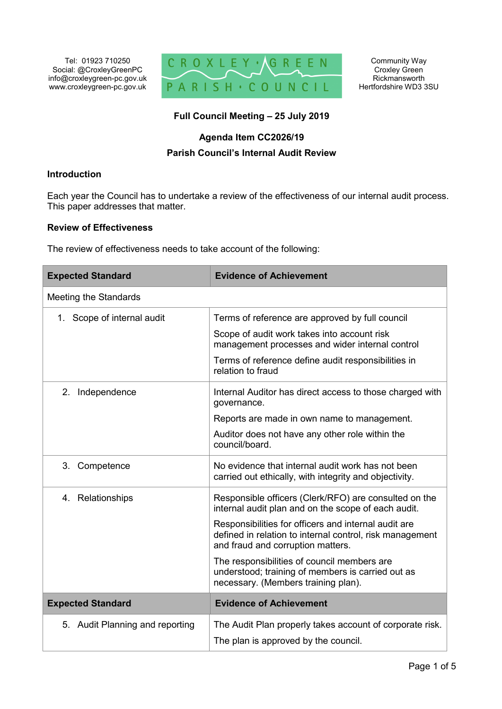Tel: 01923 710250 Social: @CroxleyGreenPC info@croxleygreen-pc.gov.uk www.croxleygreen-pc.gov.uk



# **Full Council Meeting – 25 July 2019**

## **Agenda Item CC2026/19**

# **Parish Council's Internal Audit Review**

# **Introduction**

Each year the Council has to undertake a review of the effectiveness of our internal audit process. This paper addresses that matter.

## **Review of Effectiveness**

The review of effectiveness needs to take account of the following:

| <b>Expected Standard</b>        | <b>Evidence of Achievement</b>                                                                                                                        |
|---------------------------------|-------------------------------------------------------------------------------------------------------------------------------------------------------|
| Meeting the Standards           |                                                                                                                                                       |
| 1. Scope of internal audit      | Terms of reference are approved by full council                                                                                                       |
|                                 | Scope of audit work takes into account risk<br>management processes and wider internal control                                                        |
|                                 | Terms of reference define audit responsibilities in<br>relation to fraud                                                                              |
| 2. Independence                 | Internal Auditor has direct access to those charged with<br>governance.                                                                               |
|                                 | Reports are made in own name to management.                                                                                                           |
|                                 | Auditor does not have any other role within the<br>council/board.                                                                                     |
| 3. Competence                   | No evidence that internal audit work has not been<br>carried out ethically, with integrity and objectivity.                                           |
| 4. Relationships                | Responsible officers (Clerk/RFO) are consulted on the<br>internal audit plan and on the scope of each audit.                                          |
|                                 | Responsibilities for officers and internal audit are<br>defined in relation to internal control, risk management<br>and fraud and corruption matters. |
|                                 | The responsibilities of council members are<br>understood; training of members is carried out as<br>necessary. (Members training plan).               |
| <b>Expected Standard</b>        | <b>Evidence of Achievement</b>                                                                                                                        |
| 5. Audit Planning and reporting | The Audit Plan properly takes account of corporate risk.<br>The plan is approved by the council.                                                      |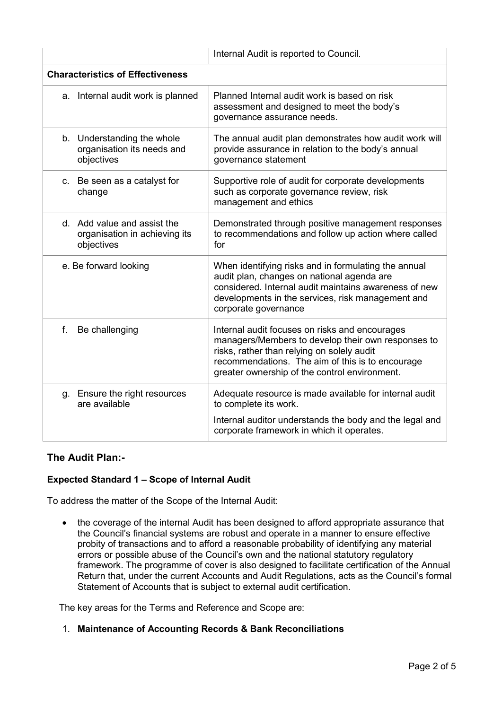|                                                                            | Internal Audit is reported to Council.                                                                                                                                                                                                                  |
|----------------------------------------------------------------------------|---------------------------------------------------------------------------------------------------------------------------------------------------------------------------------------------------------------------------------------------------------|
| <b>Characteristics of Effectiveness</b>                                    |                                                                                                                                                                                                                                                         |
| a. Internal audit work is planned                                          | Planned Internal audit work is based on risk<br>assessment and designed to meet the body's<br>governance assurance needs.                                                                                                                               |
| b. Understanding the whole<br>organisation its needs and<br>objectives     | The annual audit plan demonstrates how audit work will<br>provide assurance in relation to the body's annual<br>governance statement                                                                                                                    |
| c. Be seen as a catalyst for<br>change                                     | Supportive role of audit for corporate developments<br>such as corporate governance review, risk<br>management and ethics                                                                                                                               |
| d. Add value and assist the<br>organisation in achieving its<br>objectives | Demonstrated through positive management responses<br>to recommendations and follow up action where called<br>for                                                                                                                                       |
| e. Be forward looking                                                      | When identifying risks and in formulating the annual<br>audit plan, changes on national agenda are<br>considered. Internal audit maintains awareness of new<br>developments in the services, risk management and<br>corporate governance                |
| f.<br>Be challenging                                                       | Internal audit focuses on risks and encourages<br>managers/Members to develop their own responses to<br>risks, rather than relying on solely audit<br>recommendations. The aim of this is to encourage<br>greater ownership of the control environment. |
| g. Ensure the right resources<br>are available                             | Adequate resource is made available for internal audit<br>to complete its work.<br>Internal auditor understands the body and the legal and<br>corporate framework in which it operates.                                                                 |

# **The Audit Plan:-**

# **Expected Standard 1 – Scope of Internal Audit**

To address the matter of the Scope of the Internal Audit:

• the coverage of the internal Audit has been designed to afford appropriate assurance that the Council's financial systems are robust and operate in a manner to ensure effective probity of transactions and to afford a reasonable probability of identifying any material errors or possible abuse of the Council's own and the national statutory regulatory framework. The programme of cover is also designed to facilitate certification of the Annual Return that, under the current Accounts and Audit Regulations, acts as the Council's formal Statement of Accounts that is subject to external audit certification.

The key areas for the Terms and Reference and Scope are:

1. **Maintenance of Accounting Records & Bank Reconciliations**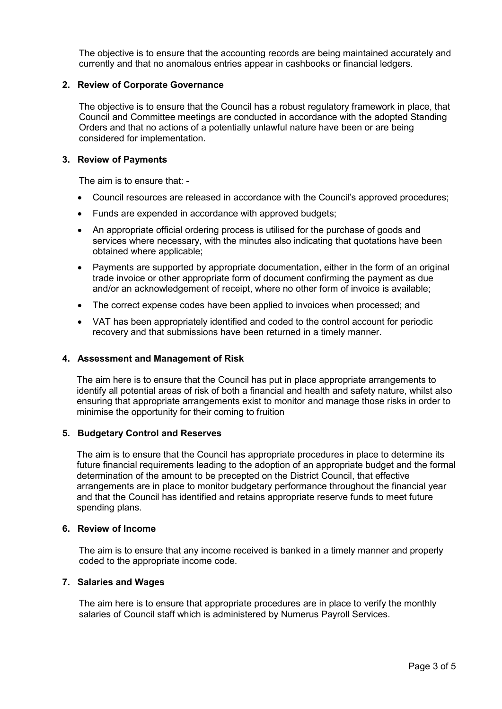The objective is to ensure that the accounting records are being maintained accurately and currently and that no anomalous entries appear in cashbooks or financial ledgers.

## **2. Review of Corporate Governance**

The objective is to ensure that the Council has a robust regulatory framework in place, that Council and Committee meetings are conducted in accordance with the adopted Standing Orders and that no actions of a potentially unlawful nature have been or are being considered for implementation.

## **3. Review of Payments**

The aim is to ensure that: -

- Council resources are released in accordance with the Council's approved procedures;
- Funds are expended in accordance with approved budgets;
- An appropriate official ordering process is utilised for the purchase of goods and services where necessary, with the minutes also indicating that quotations have been obtained where applicable;
- Payments are supported by appropriate documentation, either in the form of an original trade invoice or other appropriate form of document confirming the payment as due and/or an acknowledgement of receipt, where no other form of invoice is available;
- The correct expense codes have been applied to invoices when processed; and
- VAT has been appropriately identified and coded to the control account for periodic recovery and that submissions have been returned in a timely manner.

#### **4. Assessment and Management of Risk**

The aim here is to ensure that the Council has put in place appropriate arrangements to identify all potential areas of risk of both a financial and health and safety nature, whilst also ensuring that appropriate arrangements exist to monitor and manage those risks in order to minimise the opportunity for their coming to fruition

#### **5. Budgetary Control and Reserves**

The aim is to ensure that the Council has appropriate procedures in place to determine its future financial requirements leading to the adoption of an appropriate budget and the formal determination of the amount to be precepted on the District Council, that effective arrangements are in place to monitor budgetary performance throughout the financial year and that the Council has identified and retains appropriate reserve funds to meet future spending plans.

#### **6. Review of Income**

The aim is to ensure that any income received is banked in a timely manner and properly coded to the appropriate income code.

#### **7. Salaries and Wages**

The aim here is to ensure that appropriate procedures are in place to verify the monthly salaries of Council staff which is administered by Numerus Payroll Services.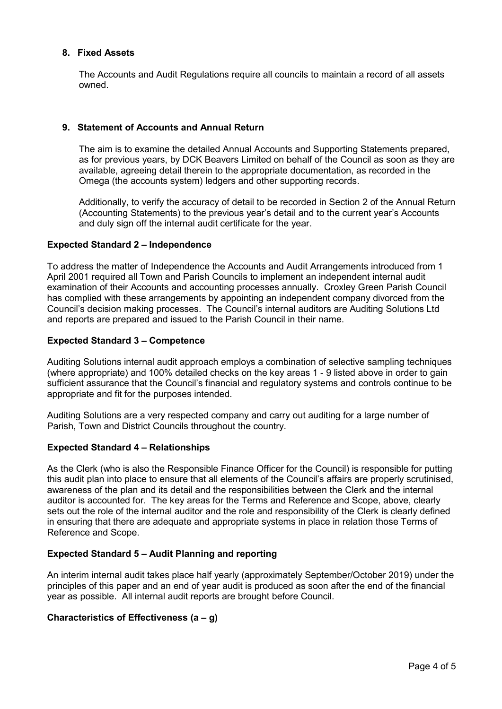## **8. Fixed Assets**

The Accounts and Audit Regulations require all councils to maintain a record of all assets owned.

## **9. Statement of Accounts and Annual Return**

The aim is to examine the detailed Annual Accounts and Supporting Statements prepared, as for previous years, by DCK Beavers Limited on behalf of the Council as soon as they are available, agreeing detail therein to the appropriate documentation, as recorded in the Omega (the accounts system) ledgers and other supporting records.

Additionally, to verify the accuracy of detail to be recorded in Section 2 of the Annual Return (Accounting Statements) to the previous year's detail and to the current year's Accounts and duly sign off the internal audit certificate for the year.

#### **Expected Standard 2 – Independence**

To address the matter of Independence the Accounts and Audit Arrangements introduced from 1 April 2001 required all Town and Parish Councils to implement an independent internal audit examination of their Accounts and accounting processes annually. Croxley Green Parish Council has complied with these arrangements by appointing an independent company divorced from the Council's decision making processes. The Council's internal auditors are Auditing Solutions Ltd and reports are prepared and issued to the Parish Council in their name.

## **Expected Standard 3 – Competence**

Auditing Solutions internal audit approach employs a combination of selective sampling techniques (where appropriate) and 100% detailed checks on the key areas 1 - 9 listed above in order to gain sufficient assurance that the Council's financial and regulatory systems and controls continue to be appropriate and fit for the purposes intended.

Auditing Solutions are a very respected company and carry out auditing for a large number of Parish, Town and District Councils throughout the country.

#### **Expected Standard 4 – Relationships**

As the Clerk (who is also the Responsible Finance Officer for the Council) is responsible for putting this audit plan into place to ensure that all elements of the Council's affairs are properly scrutinised, awareness of the plan and its detail and the responsibilities between the Clerk and the internal auditor is accounted for. The key areas for the Terms and Reference and Scope, above, clearly sets out the role of the internal auditor and the role and responsibility of the Clerk is clearly defined in ensuring that there are adequate and appropriate systems in place in relation those Terms of Reference and Scope.

## **Expected Standard 5 – Audit Planning and reporting**

An interim internal audit takes place half yearly (approximately September/October 2019) under the principles of this paper and an end of year audit is produced as soon after the end of the financial year as possible. All internal audit reports are brought before Council.

#### **Characteristics of Effectiveness (a – g)**